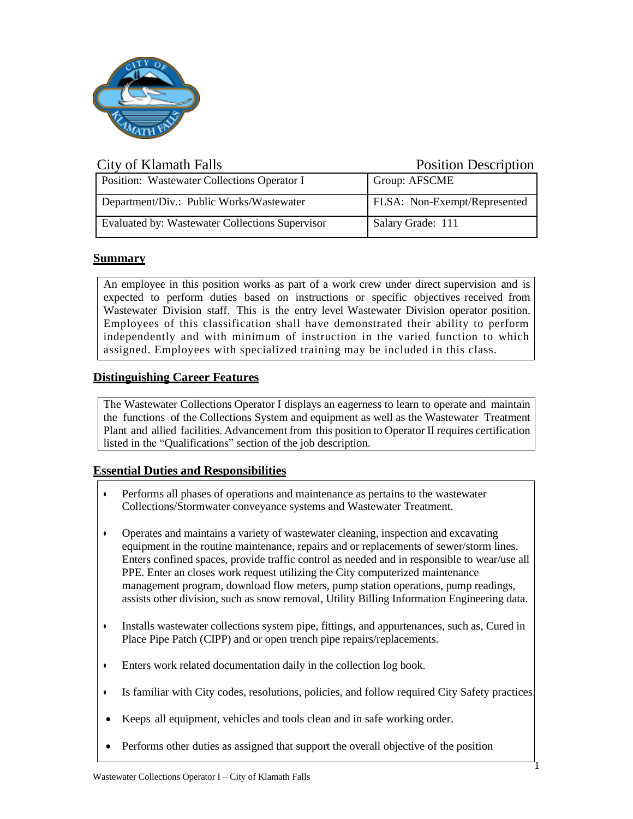

| City of Klamath Falls                           | <b>Position Description</b>  |
|-------------------------------------------------|------------------------------|
| Position: Wastewater Collections Operator I     | Group: AFSCME                |
| Department/Div.: Public Works/Wastewater        | FLSA: Non-Exempt/Represented |
| Evaluated by: Wastewater Collections Supervisor | Salary Grade: 111            |

# **Summary**

An employee in this position works as part of a work crew under direct supervision and is expected to perform duties based on instructions or specific objectives received from Wastewater Division staff. This is the entry level Wastewater Division operator position. Employees of this classification shall have demonstrated their ability to perform independently and with minimum of instruction in the varied function to which assigned. Employees with specialized training may be included in this class.

# **Distinguishing Career Features**

The Wastewater Collections Operator I displays an eagerness to learn to operate and maintain the functions of the Collections System and equipment as well as the Wastewater Treatment Plant and allied facilities. Advancement from this position to Operator II requires certification listed in the "Qualifications" section of the job description.

## **Essential Duties and Responsibilities**

- Performs all phases of operations and maintenance as pertains to the wastewater Collections/Stormwater conveyance systems and Wastewater Treatment.
- Operates and maintains a variety of wastewater cleaning, inspection and excavating equipment in the routine maintenance, repairs and or replacements of sewer/storm lines. Enters confined spaces, provide traffic control as needed and in responsible to wear/use all PPE. Enter an closes work request utilizing the City computerized maintenance management program, download flow meters, pump station operations, pump readings, assists other division, such as snow removal, Utility Billing Information Engineering data.
- Installs wastewater collections system pipe, fittings, and appurtenances, such as, Cured in Place Pipe Patch (CIPP) and or open trench pipe repairs/replacements.
- Enters work related documentation daily in the collection log book.
- Is familiar with City codes, resolutions, policies, and follow required City Safety practices.

1

- Keeps all equipment, vehicles and tools clean and in safe working order.
- Performs other duties as assigned that support the overall objective of the position